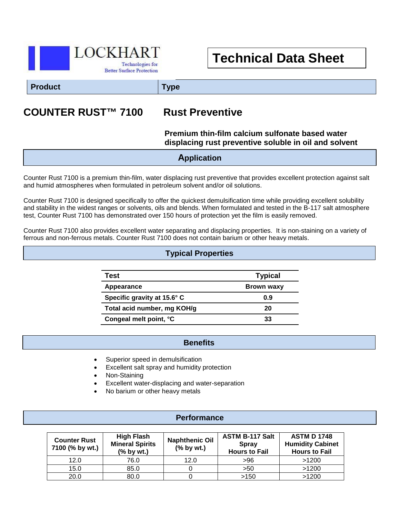

# **Technical Data Sheet**

**Product Type**

## **COUNTER RUST™ 7100 Rust Preventive**

#### **Premium thin-film calcium sulfonate based water displacing rust preventive soluble in oil and solvent**

**Application**

Counter Rust 7100 is a premium thin-film, water displacing rust preventive that provides excellent protection against salt and humid atmospheres when formulated in petroleum solvent and/or oil solutions.

Counter Rust 7100 is designed specifically to offer the quickest demulsification time while providing excellent solubility and stability in the widest ranges or solvents, oils and blends. When formulated and tested in the B-117 salt atmosphere test, Counter Rust 7100 has demonstrated over 150 hours of protection yet the film is easily removed.

Counter Rust 7100 also provides excellent water separating and displacing properties. It is non-staining on a variety of ferrous and non-ferrous metals. Counter Rust 7100 does not contain barium or other heavy metals.

#### **Typical Properties**

| Test                        | <b>Typical</b>    |
|-----------------------------|-------------------|
| Appearance                  | <b>Brown waxy</b> |
| Specific gravity at 15.6° C | 0.9               |
| Total acid number, mg KOH/g | 20                |
| Congeal melt point, °C      | 33                |

#### **Benefits**

- I Superior speed in demulsification
- Excellent salt spray and humidity protection
- Non-Staining
- Excellent water-displacing and water-separation
- No barium or other heavy metals

#### **Performance**

| <b>Counter Rust</b><br>7100 (% by wt.) | <b>High Flash</b><br><b>Mineral Spirits</b><br>$(%$ by wt.) | <b>Naphthenic Oil</b><br>$(%$ by wt.) | <b>ASTM B-117 Salt</b><br><b>Spray</b><br><b>Hours to Fail</b> | <b>ASTM D 1748</b><br><b>Humidity Cabinet</b><br><b>Hours to Fail</b> |
|----------------------------------------|-------------------------------------------------------------|---------------------------------------|----------------------------------------------------------------|-----------------------------------------------------------------------|
| 12.0                                   | 76.0                                                        | 12.0                                  | >96                                                            | >1200                                                                 |
| 15.0                                   | 85.0                                                        |                                       | >50                                                            | >1200                                                                 |
| 20.0                                   | 80.0                                                        |                                       | >150                                                           | >1200                                                                 |